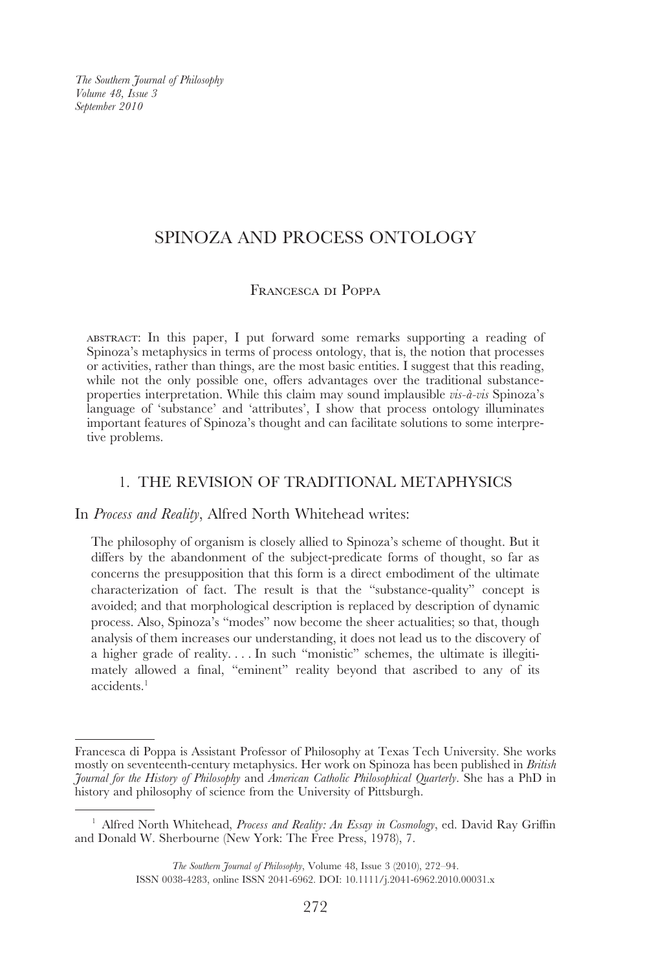*The Southern Journal of Philosophy Volume 48, Issue 3 September 2010*

# SPINOZA AND PROCESS ONTOLOGY

# Francesca di Poppa

abstract: In this paper, I put forward some remarks supporting a reading of Spinoza's metaphysics in terms of process ontology, that is, the notion that processes or activities, rather than things, are the most basic entities. I suggest that this reading, while not the only possible one, offers advantages over the traditional substanceproperties interpretation. While this claim may sound implausible *vis-à-vis* Spinoza's language of 'substance' and 'attributes', I show that process ontology illuminates important features of Spinoza's thought and can facilitate solutions to some interpretive problems.

### 1. THE REVISION OF TRADITIONAL METAPHYSICS

In *Process and Reality*, Alfred North Whitehead writes:

The philosophy of organism is closely allied to Spinoza's scheme of thought. But it differs by the abandonment of the subject-predicate forms of thought, so far as concerns the presupposition that this form is a direct embodiment of the ultimate characterization of fact. The result is that the "substance-quality" concept is avoided; and that morphological description is replaced by description of dynamic process. Also, Spinoza's "modes" now become the sheer actualities; so that, though analysis of them increases our understanding, it does not lead us to the discovery of a higher grade of reality. . . . In such "monistic" schemes, the ultimate is illegitimately allowed a final, "eminent" reality beyond that ascribed to any of its accidents<sup>1</sup>

Francesca di Poppa is Assistant Professor of Philosophy at Texas Tech University. She works mostly on seventeenth-century metaphysics. Her work on Spinoza has been published in *British Journal for the History of Philosophy* and *American Catholic Philosophical Quarterly*. She has a PhD in history and philosophy of science from the University of Pittsburgh.

<sup>1</sup> Alfred North Whitehead, *Process and Reality: An Essay in Cosmology*, ed. David Ray Griffin and Donald W. Sherbourne (New York: The Free Press, 1978), 7.

*The Southern Journal of Philosophy*, Volume 48, Issue 3 (2010), 272–94. ISSN 0038-4283, online ISSN 2041-6962. DOI: 10.1111/j.2041-6962.2010.00031.x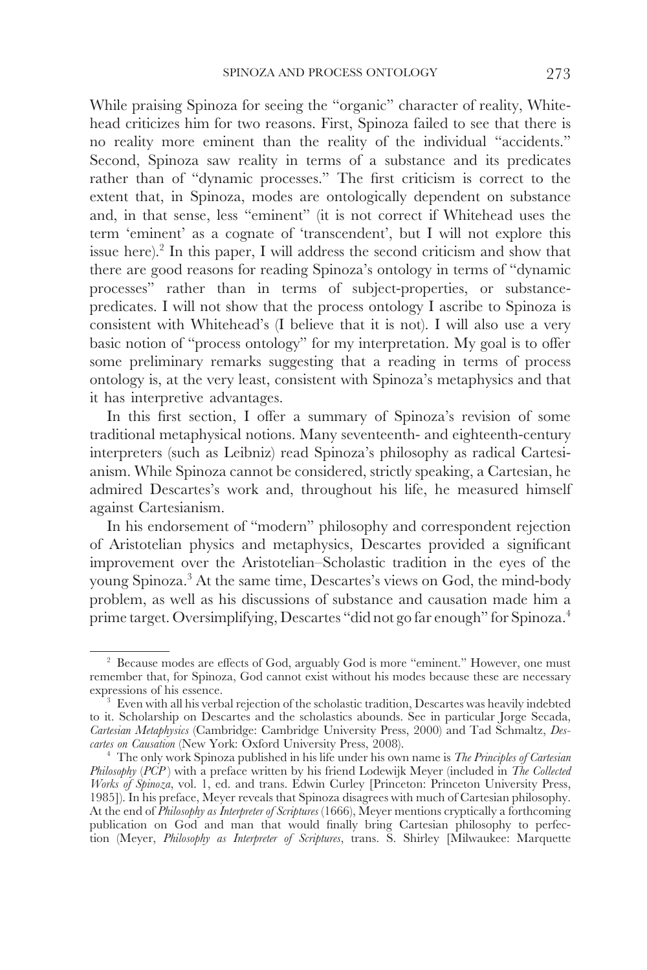While praising Spinoza for seeing the "organic" character of reality, Whitehead criticizes him for two reasons. First, Spinoza failed to see that there is no reality more eminent than the reality of the individual "accidents." Second, Spinoza saw reality in terms of a substance and its predicates rather than of "dynamic processes." The first criticism is correct to the extent that, in Spinoza, modes are ontologically dependent on substance and, in that sense, less "eminent" (it is not correct if Whitehead uses the term 'eminent' as a cognate of 'transcendent', but I will not explore this issue here).<sup>2</sup> In this paper, I will address the second criticism and show that there are good reasons for reading Spinoza's ontology in terms of "dynamic processes" rather than in terms of subject-properties, or substancepredicates. I will not show that the process ontology I ascribe to Spinoza is consistent with Whitehead's (I believe that it is not). I will also use a very basic notion of "process ontology" for my interpretation. My goal is to offer some preliminary remarks suggesting that a reading in terms of process ontology is, at the very least, consistent with Spinoza's metaphysics and that it has interpretive advantages.

In this first section, I offer a summary of Spinoza's revision of some traditional metaphysical notions. Many seventeenth- and eighteenth-century interpreters (such as Leibniz) read Spinoza's philosophy as radical Cartesianism. While Spinoza cannot be considered, strictly speaking, a Cartesian, he admired Descartes's work and, throughout his life, he measured himself against Cartesianism.

In his endorsement of "modern" philosophy and correspondent rejection of Aristotelian physics and metaphysics, Descartes provided a significant improvement over the Aristotelian–Scholastic tradition in the eyes of the young Spinoza.<sup>3</sup> At the same time, Descartes's views on God, the mind-body problem, as well as his discussions of substance and causation made him a prime target. Oversimplifying, Descartes "did not go far enough" for Spinoza.<sup>4</sup>

<sup>2</sup> Because modes are effects of God, arguably God is more "eminent." However, one must remember that, for Spinoza, God cannot exist without his modes because these are necessary

 $3$  Even with all his verbal rejection of the scholastic tradition, Descartes was heavily indebted to it. Scholarship on Descartes and the scholastics abounds. See in particular Jorge Secada, *Cartesian Metaphysics* (Cambridge: Cambridge University Press, 2000) and Tad Schmaltz, *Des-*

<sup>&</sup>lt;sup>4</sup> The only work Spinoza published in his life under his own name is *The Principles of Cartesian Philosophy* (*PCP* ) with a preface written by his friend Lodewijk Meyer (included in *The Collected Works of Spinoza*, vol. 1, ed. and trans. Edwin Curley [Princeton: Princeton University Press, 1985]). In his preface, Meyer reveals that Spinoza disagrees with much of Cartesian philosophy. At the end of *Philosophy as Interpreter of Scriptures* (1666), Meyer mentions cryptically a forthcoming publication on God and man that would finally bring Cartesian philosophy to perfection (Meyer, *Philosophy as Interpreter of Scriptures*, trans. S. Shirley [Milwaukee: Marquette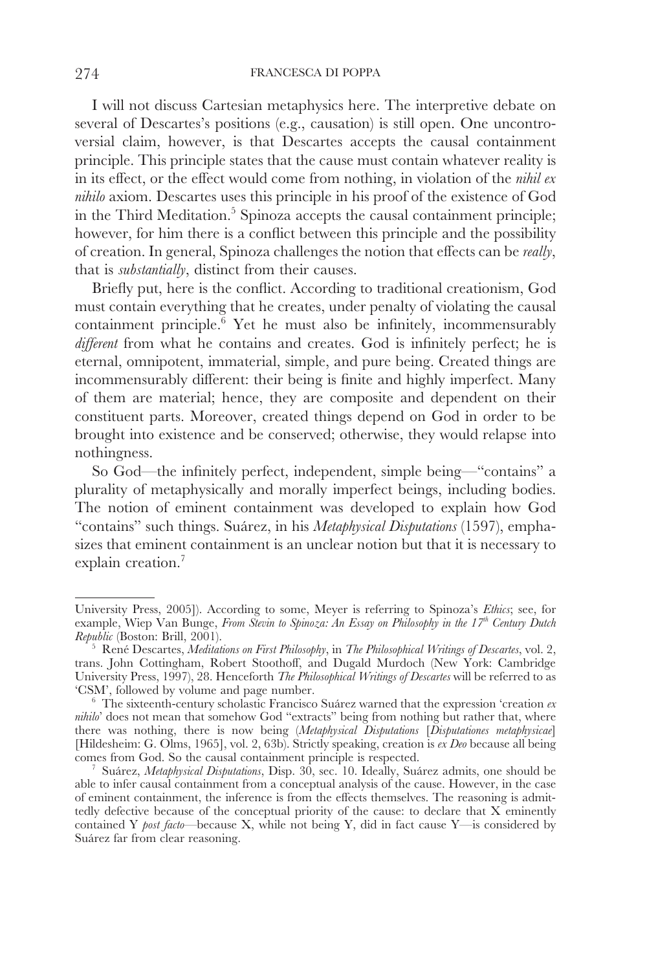I will not discuss Cartesian metaphysics here. The interpretive debate on several of Descartes's positions (e.g., causation) is still open. One uncontroversial claim, however, is that Descartes accepts the causal containment principle. This principle states that the cause must contain whatever reality is in its effect, or the effect would come from nothing, in violation of the *nihil ex nihilo* axiom. Descartes uses this principle in his proof of the existence of God in the Third Meditation.<sup>5</sup> Spinoza accepts the causal containment principle; however, for him there is a conflict between this principle and the possibility of creation. In general, Spinoza challenges the notion that effects can be *really*, that is *substantially*, distinct from their causes.

Briefly put, here is the conflict. According to traditional creationism, God must contain everything that he creates, under penalty of violating the causal containment principle.<sup>6</sup> Yet he must also be infinitely, incommensurably *different* from what he contains and creates. God is infinitely perfect; he is eternal, omnipotent, immaterial, simple, and pure being. Created things are incommensurably different: their being is finite and highly imperfect. Many of them are material; hence, they are composite and dependent on their constituent parts. Moreover, created things depend on God in order to be brought into existence and be conserved; otherwise, they would relapse into nothingness.

So God—the infinitely perfect, independent, simple being—"contains" a plurality of metaphysically and morally imperfect beings, including bodies. The notion of eminent containment was developed to explain how God "contains" such things. Suárez, in his *Metaphysical Disputations* (1597), emphasizes that eminent containment is an unclear notion but that it is necessary to explain creation.<sup>7</sup>

University Press, 2005]). According to some, Meyer is referring to Spinoza's *Ethics*; see, for example, Wiep Van Bunge, *From Stevin to Spinoza: An Essay on Philosophy in the 17<sup>th</sup> Century Dutch*<br>*Republic* (Boston: Brill, 2001).

<sup>&</sup>lt;sup>5</sup> René Descartes, *Meditations on First Philosophy*, in *The Philosophical Writings of Descartes*, vol. 2, trans. John Cottingham, Robert Stoothoff, and Dugald Murdoch (New York: Cambridge University Press, 1997), 28. Henceforth *The Philosophical Writings of Descartes* will be referred to as 'CSM', followed by volume and page number.

<sup>&</sup>lt;sup>6</sup> The sixteenth-century scholastic Francisco Suárez warned that the expression 'creation *ex nihilo*' does not mean that somehow God "extracts" being from nothing but rather that, where there was nothing, there is now being (*Metaphysical Disputations* [*Disputationes metaphysicae*] [Hildesheim: G. Olms, 1965], vol. 2, 63b). Strictly speaking, creation is *ex Deo* because all being comes from God. So the causal containment principle is respected. <sup>7</sup> Suárez, *Metaphysical Disputations*, Disp. 30, sec. 10. Ideally, Suárez admits, one should be

able to infer causal containment from a conceptual analysis of the cause. However, in the case of eminent containment, the inference is from the effects themselves. The reasoning is admittedly defective because of the conceptual priority of the cause: to declare that X eminently contained Y *post facto*—because X, while not being Y, did in fact cause Y—is considered by Suárez far from clear reasoning.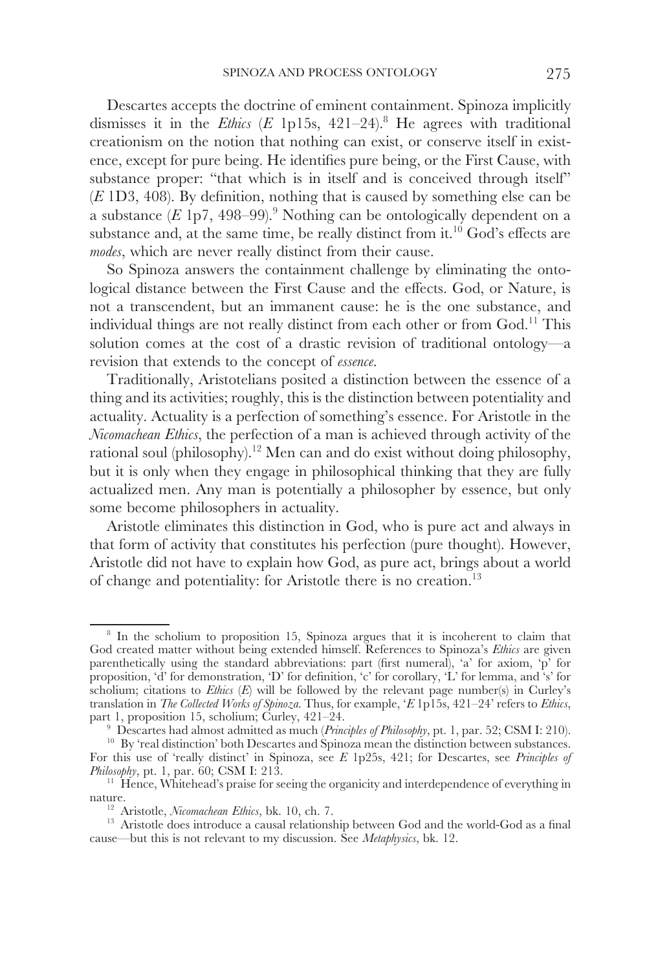Descartes accepts the doctrine of eminent containment. Spinoza implicitly dismisses it in the *Ethics*  $(E \text{ 1p15s}, 421-24)$ .<sup>8</sup> He agrees with traditional creationism on the notion that nothing can exist, or conserve itself in existence, except for pure being. He identifies pure being, or the First Cause, with substance proper: "that which is in itself and is conceived through itself" (*E* 1D3, 408). By definition, nothing that is caused by something else can be a substance  $(E 1p7, 498-99)$ .<sup>9</sup> Nothing can be ontologically dependent on a substance and, at the same time, be really distinct from it.<sup>10</sup> God's effects are *modes*, which are never really distinct from their cause.

So Spinoza answers the containment challenge by eliminating the ontological distance between the First Cause and the effects. God, or Nature, is not a transcendent, but an immanent cause: he is the one substance, and individual things are not really distinct from each other or from God.<sup>11</sup> This solution comes at the cost of a drastic revision of traditional ontology—a revision that extends to the concept of *essence*.

Traditionally, Aristotelians posited a distinction between the essence of a thing and its activities; roughly, this is the distinction between potentiality and actuality. Actuality is a perfection of something's essence. For Aristotle in the *Nicomachean Ethics*, the perfection of a man is achieved through activity of the rational soul (philosophy).<sup>12</sup> Men can and do exist without doing philosophy, but it is only when they engage in philosophical thinking that they are fully actualized men. Any man is potentially a philosopher by essence, but only some become philosophers in actuality.

Aristotle eliminates this distinction in God, who is pure act and always in that form of activity that constitutes his perfection (pure thought). However, Aristotle did not have to explain how God, as pure act, brings about a world of change and potentiality: for Aristotle there is no creation.<sup>13</sup>

<sup>&</sup>lt;sup>8</sup> In the scholium to proposition 15, Spinoza argues that it is incoherent to claim that God created matter without being extended himself. References to Spinoza's *Ethics* are given parenthetically using the standard abbreviations: part (first numeral), 'a' for axiom, 'p' for proposition, 'd' for demonstration, 'D' for definition, 'c' for corollary, 'L' for lemma, and 's' for scholium; citations to *Ethics* (*E*) will be followed by the relevant page number(s) in Curley's translation in *The Collected Works of Spinoza*. Thus, for example, '*E* 1p15s, 421–24' refers to *Ethics*,

<sup>&</sup>lt;sup>9</sup> Descartes had almost admitted as much (*Principles of Philosophy*, pt. 1, par. 52; CSM I: 210).<br><sup>10</sup> By 'real distinction' both Descartes and Spinoza mean the distinction between substances.

For this use of 'really distinct' in Spinoza, see *E* 1p25s, 421; for Descartes, see *Principles of*

<sup>&</sup>lt;sup>11</sup> Hence, Whitehead's praise for seeing the organicity and interdependence of everything in nature.<br><sup>12</sup> Aristotle, *Nicomachean Ethics*, bk. 10, ch. 7.<br><sup>13</sup> Aristotle does introduce a causal relationship between God and the world-God as a final

cause—but this is not relevant to my discussion. See *Metaphysics*, bk. 12.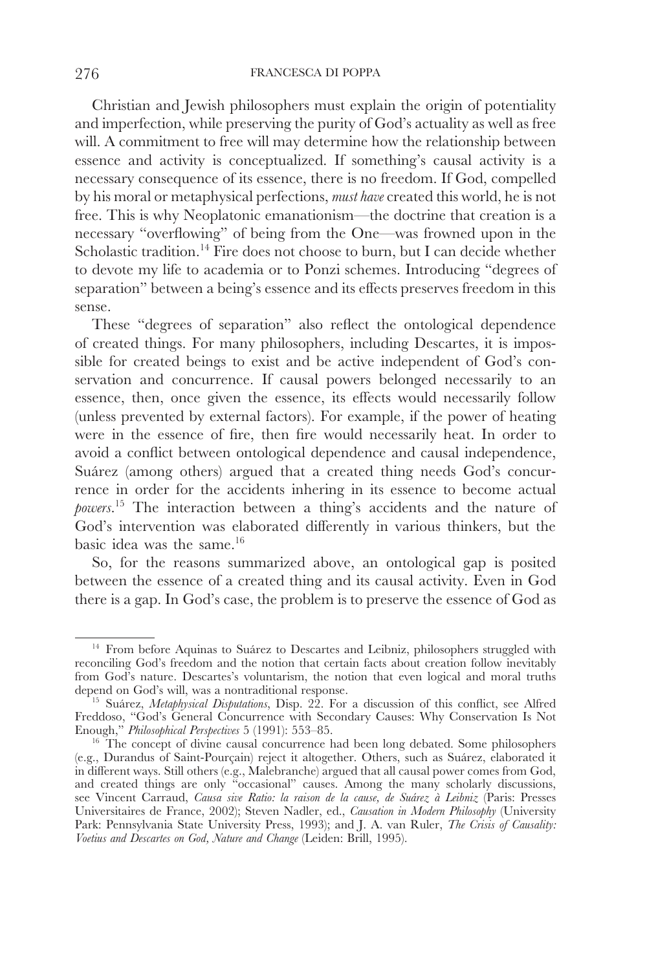Christian and Jewish philosophers must explain the origin of potentiality and imperfection, while preserving the purity of God's actuality as well as free will. A commitment to free will may determine how the relationship between essence and activity is conceptualized. If something's causal activity is a necessary consequence of its essence, there is no freedom. If God, compelled by his moral or metaphysical perfections, *must have* created this world, he is not free. This is why Neoplatonic emanationism—the doctrine that creation is a necessary "overflowing" of being from the One—was frowned upon in the Scholastic tradition.<sup>14</sup> Fire does not choose to burn, but I can decide whether to devote my life to academia or to Ponzi schemes. Introducing "degrees of separation" between a being's essence and its effects preserves freedom in this sense.

These "degrees of separation" also reflect the ontological dependence of created things. For many philosophers, including Descartes, it is impossible for created beings to exist and be active independent of God's conservation and concurrence. If causal powers belonged necessarily to an essence, then, once given the essence, its effects would necessarily follow (unless prevented by external factors). For example, if the power of heating were in the essence of fire, then fire would necessarily heat. In order to avoid a conflict between ontological dependence and causal independence, Suárez (among others) argued that a created thing needs God's concurrence in order for the accidents inhering in its essence to become actual *powers*. <sup>15</sup> The interaction between a thing's accidents and the nature of God's intervention was elaborated differently in various thinkers, but the basic idea was the same.<sup>16</sup>

So, for the reasons summarized above, an ontological gap is posited between the essence of a created thing and its causal activity. Even in God there is a gap. In God's case, the problem is to preserve the essence of God as

<sup>&</sup>lt;sup>14</sup> From before Aquinas to Suárez to Descartes and Leibniz, philosophers struggled with reconciling God's freedom and the notion that certain facts about creation follow inevitably from God's nature. Descartes's voluntarism, the notion that even logical and moral truths depend on God's will, was a nontraditional response.

<sup>&</sup>lt;sup>15</sup> Suárez, *Metaphysical Disputations*, Disp. 22. For a discussion of this conflict, see Alfred Freddoso, "God's General Concurrence with Secondary Causes: Why Conservation Is Not

<sup>&</sup>lt;sup>16</sup> The concept of divine causal concurrence had been long debated. Some philosophers (e.g., Durandus of Saint-Pourçain) reject it altogether. Others, such as Suárez, elaborated it in different ways. Still others (e.g., Malebranche) argued that all causal power comes from God, and created things are only "occasional" causes. Among the many scholarly discussions, see Vincent Carraud, *Causa sive Ratio: la raison de la cause, de Suárez à Leibniz* (Paris: Presses Universitaires de France, 2002); Steven Nadler, ed., *Causation in Modern Philosophy* (University Park: Pennsylvania State University Press, 1993); and J. A. van Ruler, *The Crisis of Causality: Voetius and Descartes on God, Nature and Change* (Leiden: Brill, 1995).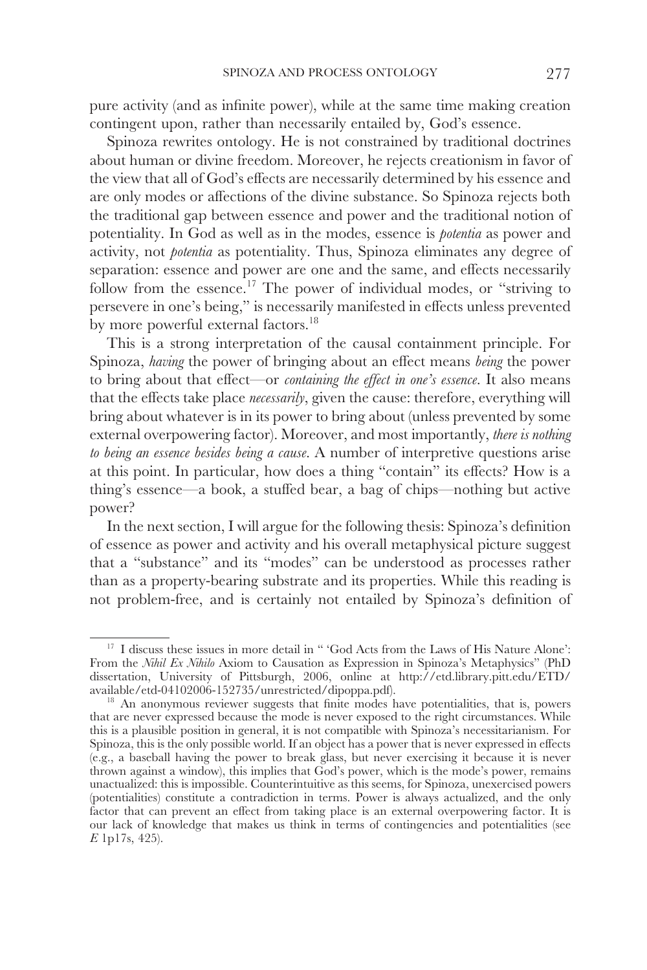pure activity (and as infinite power), while at the same time making creation contingent upon, rather than necessarily entailed by, God's essence.

Spinoza rewrites ontology. He is not constrained by traditional doctrines about human or divine freedom. Moreover, he rejects creationism in favor of the view that all of God's effects are necessarily determined by his essence and are only modes or affections of the divine substance. So Spinoza rejects both the traditional gap between essence and power and the traditional notion of potentiality. In God as well as in the modes, essence is *potentia* as power and activity, not *potentia* as potentiality. Thus, Spinoza eliminates any degree of separation: essence and power are one and the same, and effects necessarily follow from the essence.<sup>17</sup> The power of individual modes, or "striving to persevere in one's being," is necessarily manifested in effects unless prevented by more powerful external factors.<sup>18</sup>

This is a strong interpretation of the causal containment principle. For Spinoza, *having* the power of bringing about an effect means *being* the power to bring about that effect—or *containing the effect in one's essence*. It also means that the effects take place *necessarily*, given the cause: therefore, everything will bring about whatever is in its power to bring about (unless prevented by some external overpowering factor). Moreover, and most importantly, *there is nothing to being an essence besides being a cause*. A number of interpretive questions arise at this point. In particular, how does a thing "contain" its effects? How is a thing's essence—a book, a stuffed bear, a bag of chips—nothing but active power?

In the next section, I will argue for the following thesis: Spinoza's definition of essence as power and activity and his overall metaphysical picture suggest that a "substance" and its "modes" can be understood as processes rather than as a property-bearing substrate and its properties. While this reading is not problem-free, and is certainly not entailed by Spinoza's definition of

<sup>&</sup>lt;sup>17</sup> I discuss these issues in more detail in " 'God Acts from the Laws of His Nature Alone': From the *Nihil Ex Nihilo* Axiom to Causation as Expression in Spinoza's Metaphysics" (PhD dissertation, University of Pittsburgh, 2006, online at http://etd.library.pitt.edu/ETD/

 $18$  An anonymous reviewer suggests that finite modes have potentialities, that is, powers that are never expressed because the mode is never exposed to the right circumstances. While this is a plausible position in general, it is not compatible with Spinoza's necessitarianism. For Spinoza, this is the only possible world. If an object has a power that is never expressed in effects (e.g., a baseball having the power to break glass, but never exercising it because it is never thrown against a window), this implies that God's power, which is the mode's power, remains unactualized: this is impossible. Counterintuitive as this seems, for Spinoza, unexercised powers (potentialities) constitute a contradiction in terms. Power is always actualized, and the only factor that can prevent an effect from taking place is an external overpowering factor. It is our lack of knowledge that makes us think in terms of contingencies and potentialities (see *E* 1p17s, 425).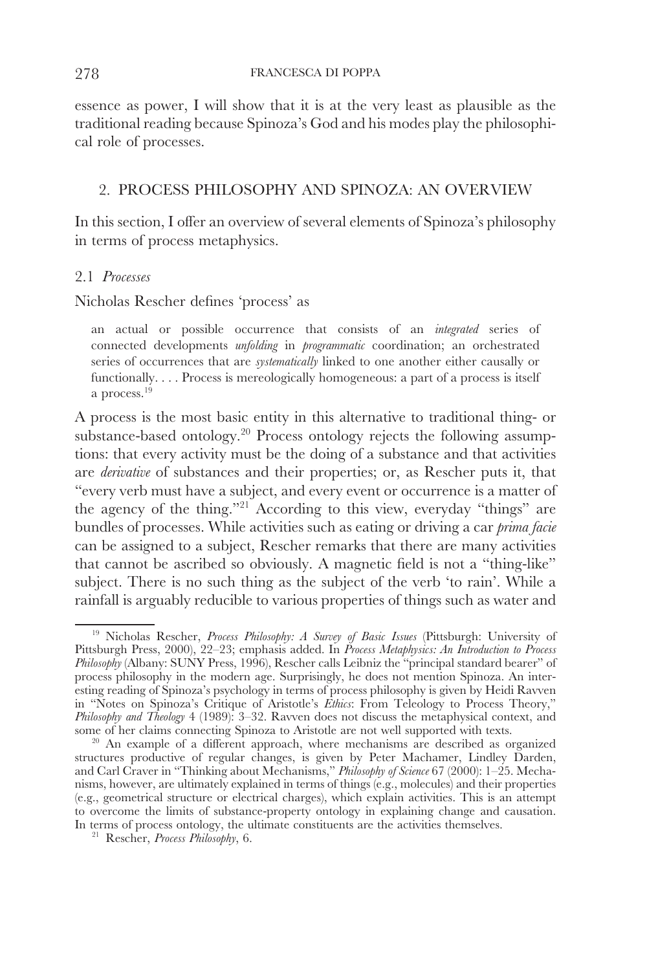essence as power, I will show that it is at the very least as plausible as the traditional reading because Spinoza's God and his modes play the philosophical role of processes.

# 2. PROCESS PHILOSOPHY AND SPINOZA: AN OVERVIEW

In this section, I offer an overview of several elements of Spinoza's philosophy in terms of process metaphysics.

#### 2.1 *Processes*

Nicholas Rescher defines 'process' as

an actual or possible occurrence that consists of an *integrated* series of connected developments *unfolding* in *programmatic* coordination; an orchestrated series of occurrences that are *systematically* linked to one another either causally or functionally.... Process is mereologically homogeneous: a part of a process is itself a process.19

A process is the most basic entity in this alternative to traditional thing- or substance-based ontology.<sup>20</sup> Process ontology rejects the following assumptions: that every activity must be the doing of a substance and that activities are *derivative* of substances and their properties; or, as Rescher puts it, that "every verb must have a subject, and every event or occurrence is a matter of the agency of the thing."<sup>21</sup> According to this view, everyday "things" are bundles of processes. While activities such as eating or driving a car *prima facie* can be assigned to a subject, Rescher remarks that there are many activities that cannot be ascribed so obviously. A magnetic field is not a "thing-like" subject. There is no such thing as the subject of the verb 'to rain'. While a rainfall is arguably reducible to various properties of things such as water and

<sup>19</sup> Nicholas Rescher, *Process Philosophy: A Survey of Basic Issues* (Pittsburgh: University of Pittsburgh Press, 2000), 22–23; emphasis added. In *Process Metaphysics: An Introduction to Process Philosophy* (Albany: SUNY Press, 1996), Rescher calls Leibniz the "principal standard bearer" of process philosophy in the modern age. Surprisingly, he does not mention Spinoza. An interesting reading of Spinoza's psychology in terms of process philosophy is given by Heidi Ravven in "Notes on Spinoza's Critique of Aristotle's *Ethics*: From Teleology to Process Theory," *Philosophy and Theology* 4 (1989): 3–32. Ravven does not discuss the metaphysical context, and some of her claims connecting Spinoza to Aristotle are not well supported with texts.

<sup>&</sup>lt;sup>20</sup> An example of a different approach, where mechanisms are described as organized structures productive of regular changes, is given by Peter Machamer, Lindley Darden, and Carl Craver in "Thinking about Mechanisms," *Philosophy of Science* 67 (2000): 1–25. Mechanisms, however, are ultimately explained in terms of things (e.g., molecules) and their properties (e.g., geometrical structure or electrical charges), which explain activities. This is an attempt to overcome the limits of substance-property ontology in explaining change and causation. In terms of process ontology, the ultimate constituents are the activities themselves. <sup>21</sup> Rescher, *Process Philosophy*, 6.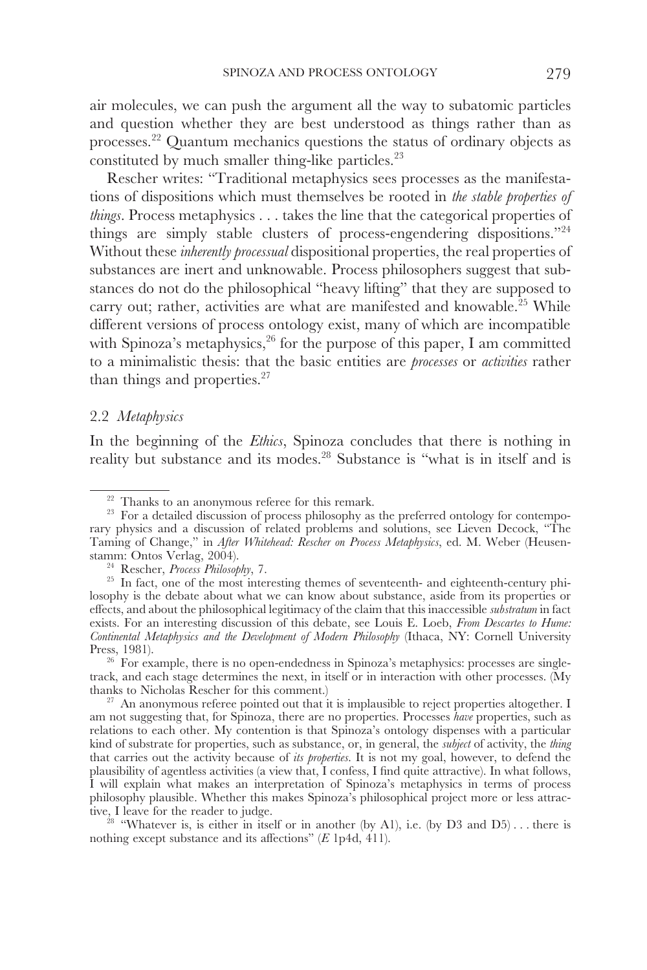air molecules, we can push the argument all the way to subatomic particles and question whether they are best understood as things rather than as processes.<sup>22</sup> Quantum mechanics questions the status of ordinary objects as constituted by much smaller thing-like particles. $^{23}$ 

Rescher writes: "Traditional metaphysics sees processes as the manifestations of dispositions which must themselves be rooted in *the stable properties of things*. Process metaphysics... takes the line that the categorical properties of things are simply stable clusters of process-engendering dispositions."<sup>24</sup> Without these *inherently processual* dispositional properties, the real properties of substances are inert and unknowable. Process philosophers suggest that substances do not do the philosophical "heavy lifting" that they are supposed to carry out; rather, activities are what are manifested and knowable.<sup>25</sup> While different versions of process ontology exist, many of which are incompatible with Spinoza's metaphysics, $26$  for the purpose of this paper, I am committed to a minimalistic thesis: that the basic entities are *processes* or *activities* rather than things and properties.<sup>27</sup>

#### 2.2 *Metaphysics*

In the beginning of the *Ethics*, Spinoza concludes that there is nothing in reality but substance and its modes.<sup>28</sup> Substance is "what is in itself and is

<sup>28</sup> "Whatever is, is either in itself or in another (by A1), i.e. (by D3 and D5)... there is nothing except substance and its affections" (*E* 1p4d, 411).

 $^{22}$  Thanks to an anonymous referee for this remark.  $^{23}$  For a detailed discussion of process philosophy as the preferred ontology for contemporary physics and a discussion of related problems and solutions, see Lieven Decock, "The Taming of Change," in *After Whitehead: Rescher on Process Metaphysics*, ed. M. Weber (Heusen-

<sup>&</sup>lt;sup>25</sup> In fact, one of the most interesting themes of seventeenth- and eighteenth-century philosophy is the debate about what we can know about substance, aside from its properties or effects, and about the philosophical legitimacy of the claim that this inaccessible *substratum* in fact exists. For an interesting discussion of this debate, see Louis E. Loeb, *From Descartes to Hume: Continental Metaphysics and the Development of Modern Philosophy* (Ithaca, NY: Cornell University

 $26$  For example, there is no open-endedness in Spinoza's metaphysics: processes are singletrack, and each stage determines the next, in itself or in interaction with other processes. (My

 $27$  An anonymous referee pointed out that it is implausible to reject properties altogether. I am not suggesting that, for Spinoza, there are no properties. Processes *have* properties, such as relations to each other. My contention is that Spinoza's ontology dispenses with a particular kind of substrate for properties, such as substance, or, in general, the *subject* of activity, the *thing* that carries out the activity because of *its properties*. It is not my goal, however, to defend the plausibility of agentless activities (a view that, I confess, I find quite attractive). In what follows, I will explain what makes an interpretation of Spinoza's metaphysics in terms of process philosophy plausible. Whether this makes Spinoza's philosophical project more or less attrac-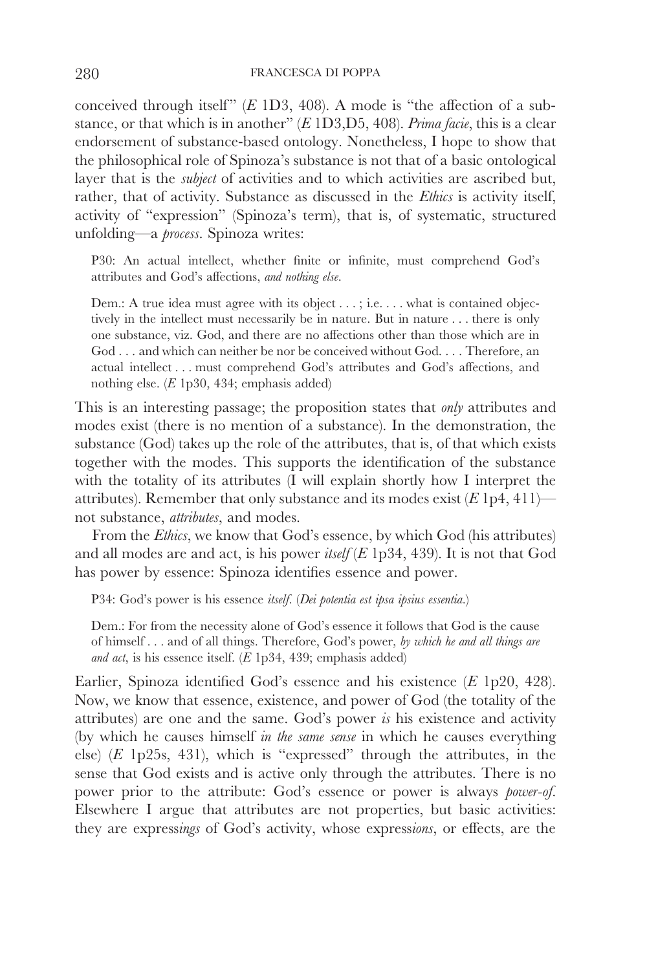conceived through itself"  $(E 1D3, 408)$ . A mode is "the affection of a substance, or that which is in another" (*E* 1D3,D5, 408). *Prima facie*, this is a clear endorsement of substance-based ontology. Nonetheless, I hope to show that the philosophical role of Spinoza's substance is not that of a basic ontological layer that is the *subject* of activities and to which activities are ascribed but, rather, that of activity. Substance as discussed in the *Ethics* is activity itself, activity of "expression" (Spinoza's term), that is, of systematic, structured unfolding—a *process*. Spinoza writes:

P30: An actual intellect, whether finite or infinite, must comprehend God's attributes and God's affections, *and nothing else.*

Dem.: A true idea must agree with its object...; i.e. . . . what is contained objectively in the intellect must necessarily be in nature. But in nature... there is only one substance, viz. God, and there are no affections other than those which are in God . . . and which can neither be nor be conceived without God....Therefore, an actual intellect . . . must comprehend God's attributes and God's affections, and nothing else. (*E* 1p30, 434; emphasis added)

This is an interesting passage; the proposition states that *only* attributes and modes exist (there is no mention of a substance). In the demonstration, the substance (God) takes up the role of the attributes, that is, of that which exists together with the modes. This supports the identification of the substance with the totality of its attributes (I will explain shortly how I interpret the attributes). Remember that only substance and its modes exist (*E* 1p4, 411) not substance, *attributes*, and modes.

From the *Ethics*, we know that God's essence, by which God (his attributes) and all modes are and act, is his power *itself* (*E* 1p34, 439). It is not that God has power by essence: Spinoza identifies essence and power.

P34: God's power is his essence *itself*. (*Dei potentia est ipsa ipsius essentia.*)

Dem.: For from the necessity alone of God's essence it follows that God is the cause of himself . . . and of all things. Therefore, God's power, *by which he and all things are and act*, is his essence itself. (*E* 1p34, 439; emphasis added)

Earlier, Spinoza identified God's essence and his existence (*E* 1p20, 428). Now, we know that essence, existence, and power of God (the totality of the attributes) are one and the same. God's power *is* his existence and activity (by which he causes himself *in the same sense* in which he causes everything else) (*E* 1p25s, 431), which is "expressed" through the attributes, in the sense that God exists and is active only through the attributes. There is no power prior to the attribute: God's essence or power is always *power-of*. Elsewhere I argue that attributes are not properties, but basic activities: they are express*ings* of God's activity, whose express*ions*, or effects, are the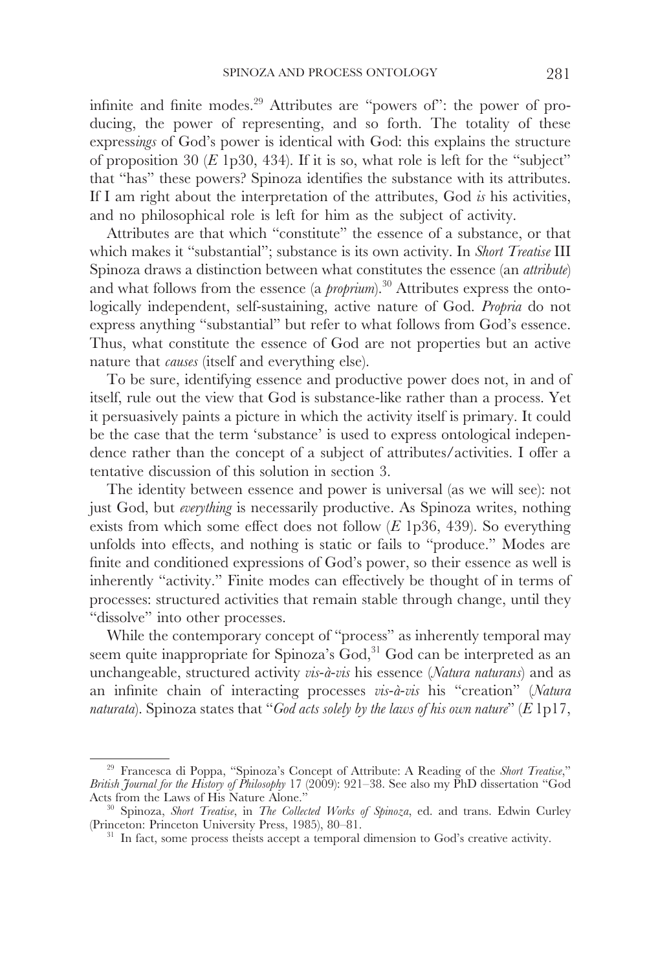infinite and finite modes.<sup>29</sup> Attributes are "powers of": the power of producing, the power of representing, and so forth. The totality of these express*ings* of God's power is identical with God: this explains the structure of proposition 30 (*E* 1p30, 434). If it is so, what role is left for the "subject" that "has" these powers? Spinoza identifies the substance with its attributes. If I am right about the interpretation of the attributes, God *is* his activities, and no philosophical role is left for him as the subject of activity.

Attributes are that which "constitute" the essence of a substance, or that which makes it "substantial"; substance is its own activity. In *Short Treatise* III Spinoza draws a distinction between what constitutes the essence (an *attribute*) and what follows from the essence (a *proprium*).<sup>30</sup> Attributes express the ontologically independent, self-sustaining, active nature of God. *Propria* do not express anything "substantial" but refer to what follows from God's essence. Thus, what constitute the essence of God are not properties but an active nature that *causes* (itself and everything else).

To be sure, identifying essence and productive power does not, in and of itself, rule out the view that God is substance-like rather than a process. Yet it persuasively paints a picture in which the activity itself is primary. It could be the case that the term 'substance' is used to express ontological independence rather than the concept of a subject of attributes/activities. I offer a tentative discussion of this solution in section 3.

The identity between essence and power is universal (as we will see): not just God, but *everything* is necessarily productive. As Spinoza writes, nothing exists from which some effect does not follow (*E* 1p36, 439). So everything unfolds into effects, and nothing is static or fails to "produce." Modes are finite and conditioned expressions of God's power, so their essence as well is inherently "activity." Finite modes can effectively be thought of in terms of processes: structured activities that remain stable through change, until they "dissolve" into other processes.

While the contemporary concept of "process" as inherently temporal may seem quite inappropriate for Spinoza's God,<sup>31</sup> God can be interpreted as an unchangeable, structured activity *vis*-*à*-*vis* his essence (*Natura naturans*) and as an infinite chain of interacting processes *vis*-*à*-*vis* his "creation" (*Natura naturata*). Spinoza states that "*God acts solely by the laws of his own nature*" (*E* 1p17,

<sup>29</sup> Francesca di Poppa, "Spinoza's Concept of Attribute: A Reading of the *Short Treatise*," *British Journal for the History of Philosophy* 17 (2009): 921–38. See also my PhD dissertation "God Acts from the Laws of His Nature Alone." <sup>30</sup> Spinoza, *Short Treatise*, in *The Collected Works of Spinoza*, ed. and trans. Edwin Curley

<sup>(</sup>Princeton: Princeton University Press, 1985), 80–81.<br><sup>31</sup> In fact, some process theists accept a temporal dimension to God's creative activity.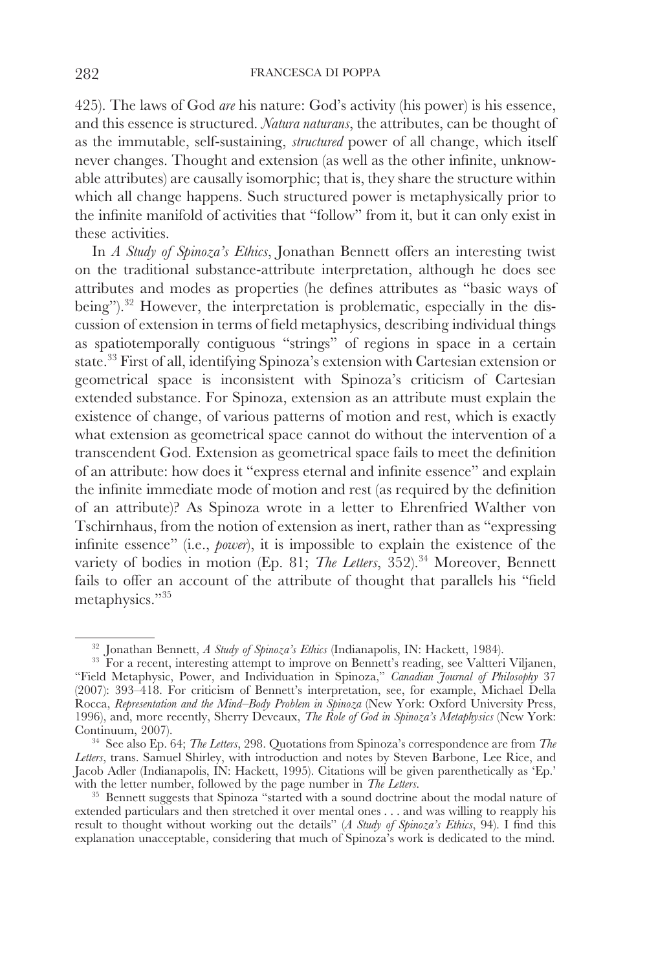425). The laws of God *are* his nature: God's activity (his power) is his essence, and this essence is structured. *Natura naturans*, the attributes, can be thought of as the immutable, self-sustaining, *structured* power of all change, which itself never changes. Thought and extension (as well as the other infinite, unknowable attributes) are causally isomorphic; that is, they share the structure within which all change happens. Such structured power is metaphysically prior to the infinite manifold of activities that "follow" from it, but it can only exist in these activities.

In *A Study of Spinoza's Ethics*, Jonathan Bennett offers an interesting twist on the traditional substance-attribute interpretation, although he does see attributes and modes as properties (he defines attributes as "basic ways of being").<sup>32</sup> However, the interpretation is problematic, especially in the discussion of extension in terms of field metaphysics, describing individual things as spatiotemporally contiguous "strings" of regions in space in a certain state.<sup>33</sup> First of all, identifying Spinoza's extension with Cartesian extension or geometrical space is inconsistent with Spinoza's criticism of Cartesian extended substance. For Spinoza, extension as an attribute must explain the existence of change, of various patterns of motion and rest, which is exactly what extension as geometrical space cannot do without the intervention of a transcendent God. Extension as geometrical space fails to meet the definition of an attribute: how does it "express eternal and infinite essence" and explain the infinite immediate mode of motion and rest (as required by the definition of an attribute)? As Spinoza wrote in a letter to Ehrenfried Walther von Tschirnhaus, from the notion of extension as inert, rather than as "expressing infinite essence" (i.e., *power*), it is impossible to explain the existence of the variety of bodies in motion (Ep. 81; *The Letters*, 352).<sup>34</sup> Moreover, Bennett fails to offer an account of the attribute of thought that parallels his "field metaphysics."<sup>35</sup>

<sup>&</sup>lt;sup>32</sup> Jonathan Bennett, *A Study of Spinoza's Ethics* (Indianapolis, IN: Hackett, 1984).  $33$  For a recent, interesting attempt to improve on Bennett's reading, see Valtteri Viljanen, "Field Metaphysic, Power, and Individuation in Spinoza," *Canadian Journal of Philosophy* 37 (2007): 393–418. For criticism of Bennett's interpretation, see, for example, Michael Della Rocca, *Representation and the Mind–Body Problem in Spinoza* (New York: Oxford University Press, 1996), and, more recently, Sherry Deveaux, *The Role of God in Spinoza's Metaphysics* (New York:

<sup>&</sup>lt;sup>34</sup> See also Ep. 64; *The Letters*, 298. Quotations from Spinoza's correspondence are from *The Letters*, trans. Samuel Shirley, with introduction and notes by Steven Barbone, Lee Rice, and Jacob Adler (Indianapolis, IN: Hackett, 1995). Citations will be given parenthetically as 'Ep.' with the letter number, followed by the page number in *The Letters*.

<sup>&</sup>lt;sup>35</sup> Bennett suggests that Spinoza "started with a sound doctrine about the modal nature of extended particulars and then stretched it over mental ones . . . and was willing to reapply his result to thought without working out the details" (*A Study of Spinoza's Ethics*, 94). I find this explanation unacceptable, considering that much of Spinoza's work is dedicated to the mind.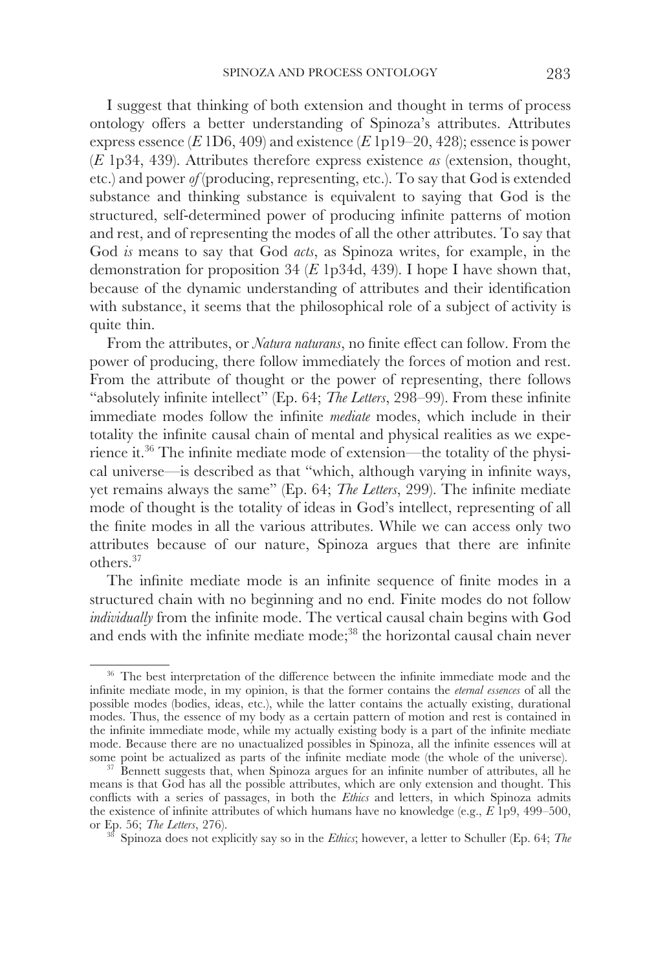I suggest that thinking of both extension and thought in terms of process ontology offers a better understanding of Spinoza's attributes. Attributes express essence (*E* 1D6, 409) and existence (*E* 1p19–20, 428); essence is power (*E* 1p34, 439). Attributes therefore express existence *as* (extension, thought, etc.) and power *of* (producing, representing, etc.). To say that God is extended substance and thinking substance is equivalent to saying that God is the structured, self-determined power of producing infinite patterns of motion and rest, and of representing the modes of all the other attributes. To say that God *is* means to say that God *acts*, as Spinoza writes, for example, in the demonstration for proposition 34 (*E* 1p34d, 439). I hope I have shown that, because of the dynamic understanding of attributes and their identification with substance, it seems that the philosophical role of a subject of activity is quite thin.

From the attributes, or *Natura naturans*, no finite effect can follow. From the power of producing, there follow immediately the forces of motion and rest. From the attribute of thought or the power of representing, there follows "absolutely infinite intellect" (Ep. 64; *The Letters*, 298–99). From these infinite immediate modes follow the infinite *mediate* modes, which include in their totality the infinite causal chain of mental and physical realities as we experience it.<sup>36</sup> The infinite mediate mode of extension—the totality of the physical universe—is described as that "which, although varying in infinite ways, yet remains always the same" (Ep. 64; *The Letters*, 299). The infinite mediate mode of thought is the totality of ideas in God's intellect, representing of all the finite modes in all the various attributes. While we can access only two attributes because of our nature, Spinoza argues that there are infinite others.<sup>37</sup>

The infinite mediate mode is an infinite sequence of finite modes in a structured chain with no beginning and no end. Finite modes do not follow *individually* from the infinite mode. The vertical causal chain begins with God and ends with the infinite mediate mode;<sup>38</sup> the horizontal causal chain never

<sup>&</sup>lt;sup>36</sup> The best interpretation of the difference between the infinite immediate mode and the infinite mediate mode, in my opinion, is that the former contains the *eternal essences* of all the possible modes (bodies, ideas, etc.), while the latter contains the actually existing, durational modes. Thus, the essence of my body as a certain pattern of motion and rest is contained in the infinite immediate mode, while my actually existing body is a part of the infinite mediate mode. Because there are no unactualized possibles in Spinoza, all the infinite essences will at some point be actualized as parts of the infinite mediate mode (the whole of the universe).

 $37$  Bennett suggests that, when Spinoza argues for an infinite number of attributes, all he means is that God has all the possible attributes, which are only extension and thought. This conflicts with a series of passages, in both the *Ethics* and letters, in which Spinoza admits the existence of infinite attributes of which humans have no knowledge (e.g., *E* 1p9, 499–500, or Ep. 56; *The Letters*, 276).

<sup>&</sup>lt;sup>38</sup> Spinoza does not explicitly say so in the *Ethics*; however, a letter to Schuller (Ep. 64; *The*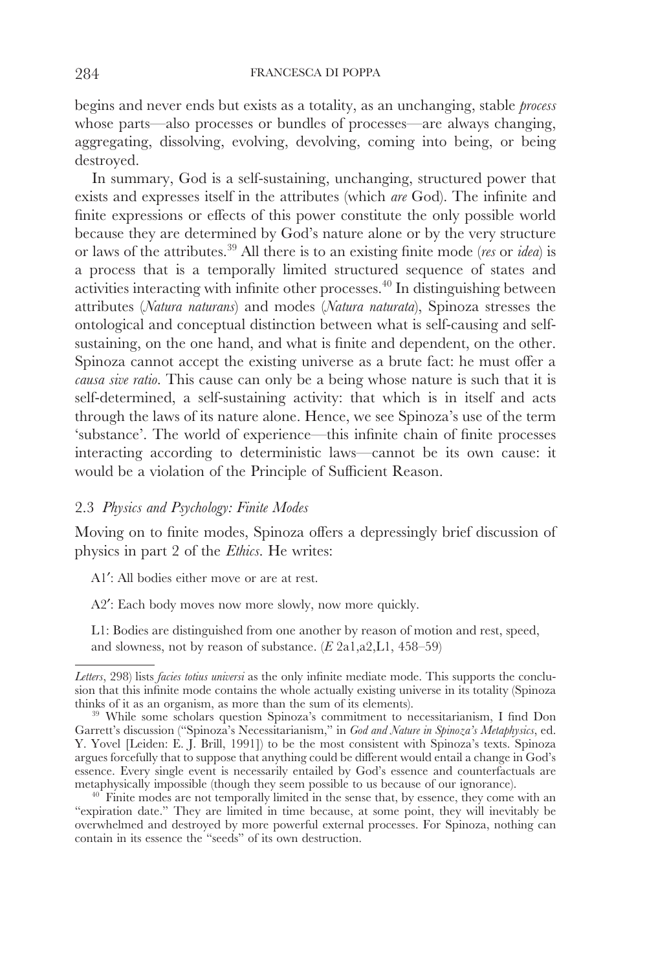begins and never ends but exists as a totality, as an unchanging, stable *process* whose parts—also processes or bundles of processes—are always changing, aggregating, dissolving, evolving, devolving, coming into being, or being destroyed.

In summary, God is a self-sustaining, unchanging, structured power that exists and expresses itself in the attributes (which *are* God). The infinite and finite expressions or effects of this power constitute the only possible world because they are determined by God's nature alone or by the very structure or laws of the attributes.<sup>39</sup> All there is to an existing finite mode (*res* or *idea*) is a process that is a temporally limited structured sequence of states and activities interacting with infinite other processes.<sup>40</sup> In distinguishing between attributes (*Natura naturans*) and modes (*Natura naturata*), Spinoza stresses the ontological and conceptual distinction between what is self-causing and selfsustaining, on the one hand, and what is finite and dependent, on the other. Spinoza cannot accept the existing universe as a brute fact: he must offer a *causa sive ratio*. This cause can only be a being whose nature is such that it is self-determined, a self-sustaining activity: that which is in itself and acts through the laws of its nature alone. Hence, we see Spinoza's use of the term 'substance'. The world of experience—this infinite chain of finite processes interacting according to deterministic laws—cannot be its own cause: it would be a violation of the Principle of Sufficient Reason.

#### 2.3 *Physics and Psychology: Finite Modes*

Moving on to finite modes, Spinoza offers a depressingly brief discussion of physics in part 2 of the *Ethics*. He writes:

A1′: All bodies either move or are at rest.

A2′: Each body moves now more slowly, now more quickly.

L1: Bodies are distinguished from one another by reason of motion and rest, speed, and slowness, not by reason of substance. (*E* 2a1,a2,L1, 458–59)

*Letters*, 298) lists *facies totius universi* as the only infinite mediate mode. This supports the conclusion that this infinite mode contains the whole actually existing universe in its totality (Spinoza thinks of it as an organism, as more than the sum of its elements).

 $39$  While some scholars question Spinoza's commitment to necessitarianism, I find Don Garrett's discussion ("Spinoza's Necessitarianism," in *God and Nature in Spinoza's Metaphysics*, ed. Y. Yovel [Leiden: E. J. Brill, 1991]) to be the most consistent with Spinoza's texts. Spinoza argues forcefully that to suppose that anything could be different would entail a change in God's essence. Every single event is necessarily entailed by God's essence and counterfactuals are metaphysically impossible (though they seem possible to us because of our ignorance).

 $\frac{40^4}{\pi}$  Finite modes are not temporally limited in the sense that, by essence, they come with an "expiration date." They are limited in time because, at some point, they will inevitably be overwhelmed and destroyed by more powerful external processes. For Spinoza, nothing can contain in its essence the "seeds" of its own destruction.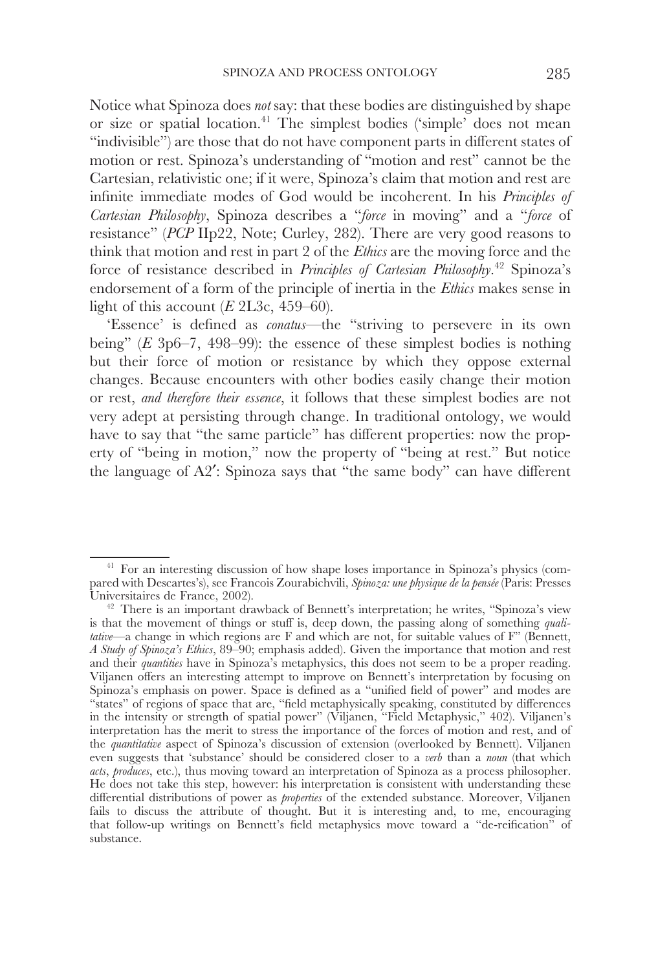Notice what Spinoza does *not* say: that these bodies are distinguished by shape or size or spatial location.<sup>41</sup> The simplest bodies ('simple' does not mean "indivisible") are those that do not have component parts in different states of motion or rest. Spinoza's understanding of "motion and rest" cannot be the Cartesian, relativistic one; if it were, Spinoza's claim that motion and rest are infinite immediate modes of God would be incoherent. In his *Principles of Cartesian Philosophy*, Spinoza describes a "*force* in moving" and a "*force* of resistance" (*PCP* IIp22, Note; Curley, 282). There are very good reasons to think that motion and rest in part 2 of the *Ethics* are the moving force and the force of resistance described in *Principles of Cartesian Philosophy*. <sup>42</sup> Spinoza's endorsement of a form of the principle of inertia in the *Ethics* makes sense in light of this account (*E* 2L3c, 459–60).

'Essence' is defined as *conatus*—the "striving to persevere in its own being" (*E* 3p6–7, 498–99): the essence of these simplest bodies is nothing but their force of motion or resistance by which they oppose external changes. Because encounters with other bodies easily change their motion or rest, *and therefore their essence*, it follows that these simplest bodies are not very adept at persisting through change. In traditional ontology, we would have to say that "the same particle" has different properties: now the property of "being in motion," now the property of "being at rest." But notice the language of A2′: Spinoza says that "the same body" can have different

<sup>&</sup>lt;sup>41</sup> For an interesting discussion of how shape loses importance in Spinoza's physics (compared with Descartes's), see Francois Zourabichvili, *Spinoza: une physique de la pensée* (Paris: Presses

 $42$  There is an important drawback of Bennett's interpretation; he writes, "Spinoza's view is that the movement of things or stuff is, deep down, the passing along of something *qualitative*—a change in which regions are F and which are not, for suitable values of F" (Bennett, *A Study of Spinoza's Ethics*, 89–90; emphasis added). Given the importance that motion and rest and their *quantities* have in Spinoza's metaphysics, this does not seem to be a proper reading. Viljanen offers an interesting attempt to improve on Bennett's interpretation by focusing on Spinoza's emphasis on power. Space is defined as a "unified field of power" and modes are "states" of regions of space that are, "field metaphysically speaking, constituted by differences in the intensity or strength of spatial power" (Viljanen, "Field Metaphysic," 402). Viljanen's interpretation has the merit to stress the importance of the forces of motion and rest, and of the *quantitative* aspect of Spinoza's discussion of extension (overlooked by Bennett). Viljanen even suggests that 'substance' should be considered closer to a *verb* than a *noun* (that which *acts*, *produces*, etc.), thus moving toward an interpretation of Spinoza as a process philosopher. He does not take this step, however: his interpretation is consistent with understanding these differential distributions of power as *properties* of the extended substance. Moreover, Viljanen fails to discuss the attribute of thought. But it is interesting and, to me, encouraging that follow-up writings on Bennett's field metaphysics move toward a "de-reification" of substance.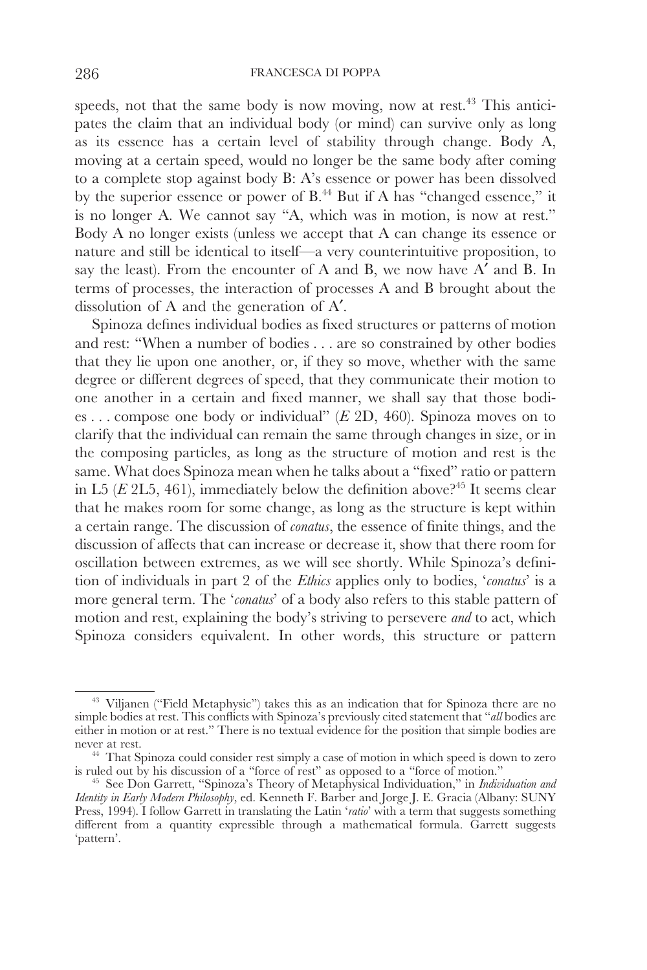speeds, not that the same body is now moving, now at rest. $43$  This anticipates the claim that an individual body (or mind) can survive only as long as its essence has a certain level of stability through change. Body A, moving at a certain speed, would no longer be the same body after coming to a complete stop against body B: A's essence or power has been dissolved by the superior essence or power of B.<sup>44</sup> But if A has "changed essence," it is no longer A. We cannot say "A, which was in motion, is now at rest." Body A no longer exists (unless we accept that A can change its essence or nature and still be identical to itself—a very counterintuitive proposition, to say the least). From the encounter of A and B, we now have A′ and B. In terms of processes, the interaction of processes A and B brought about the dissolution of A and the generation of A′.

Spinoza defines individual bodies as fixed structures or patterns of motion and rest: "When a number of bodies . . . are so constrained by other bodies that they lie upon one another, or, if they so move, whether with the same degree or different degrees of speed, that they communicate their motion to one another in a certain and fixed manner, we shall say that those bodies . . . compose one body or individual" (*E* 2D, 460). Spinoza moves on to clarify that the individual can remain the same through changes in size, or in the composing particles, as long as the structure of motion and rest is the same. What does Spinoza mean when he talks about a "fixed" ratio or pattern in L5 ( $E$  2L5, 461), immediately below the definition above?<sup>45</sup> It seems clear that he makes room for some change, as long as the structure is kept within a certain range. The discussion of *conatus*, the essence of finite things, and the discussion of affects that can increase or decrease it, show that there room for oscillation between extremes, as we will see shortly. While Spinoza's definition of individuals in part 2 of the *Ethics* applies only to bodies, '*conatus*' is a more general term. The '*conatus*' of a body also refers to this stable pattern of motion and rest, explaining the body's striving to persevere *and* to act, which Spinoza considers equivalent. In other words, this structure or pattern

<sup>43</sup> Viljanen ("Field Metaphysic") takes this as an indication that for Spinoza there are no simple bodies at rest. This conflicts with Spinoza's previously cited statement that "*all* bodies are either in motion or at rest." There is no textual evidence for the position that simple bodies are

<sup>&</sup>lt;sup>44</sup> That Spinoza could consider rest simply a case of motion in which speed is down to zero is ruled out by his discussion of a "force of rest" as opposed to a "force of motion."

<sup>&</sup>lt;sup>45</sup> See Don Garrett, "Spinoza's Theory of Metaphysical Individuation," in *Individuation and Identity in Early Modern Philosophy*, ed. Kenneth F. Barber and Jorge J. E. Gracia (Albany: SUNY Press, 1994). I follow Garrett in translating the Latin '*ratio*' with a term that suggests something different from a quantity expressible through a mathematical formula. Garrett suggests 'pattern'.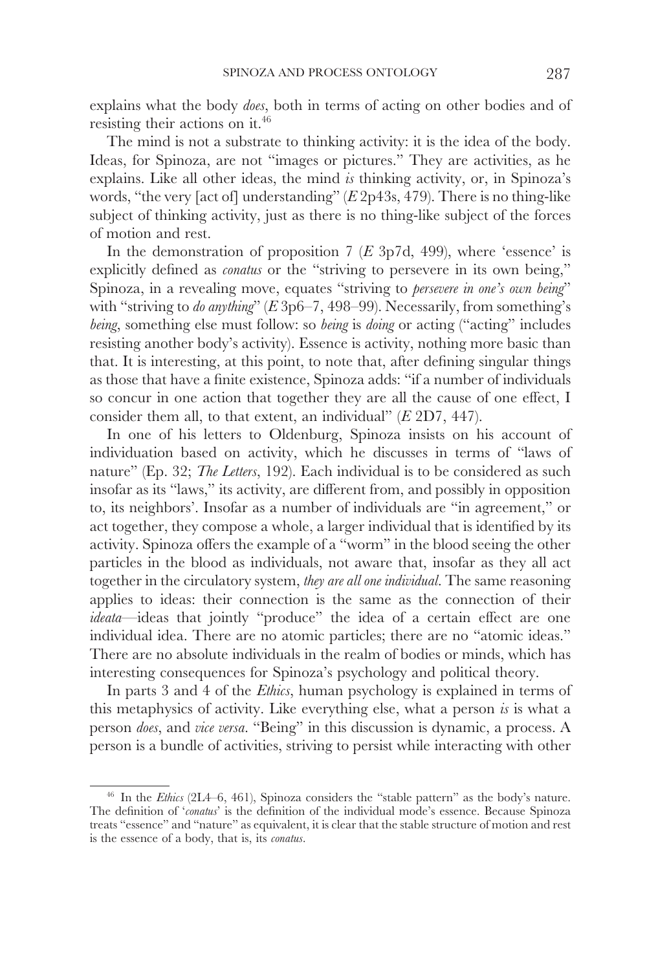explains what the body *does*, both in terms of acting on other bodies and of resisting their actions on it.<sup>46</sup>

The mind is not a substrate to thinking activity: it is the idea of the body. Ideas, for Spinoza, are not "images or pictures." They are activities, as he explains. Like all other ideas, the mind *is* thinking activity, or, in Spinoza's words, "the very [act of] understanding" (*E* 2p43s, 479). There is no thing-like subject of thinking activity, just as there is no thing-like subject of the forces of motion and rest.

In the demonstration of proposition 7 (*E* 3p7d, 499), where 'essence' is explicitly defined as *conatus* or the "striving to persevere in its own being," Spinoza, in a revealing move, equates "striving to *persevere in one's own being*" with "striving to *do anything*" (*E* 3p6–7, 498–99). Necessarily, from something's *being*, something else must follow: so *being* is *doing* or acting ("acting" includes resisting another body's activity). Essence is activity, nothing more basic than that. It is interesting, at this point, to note that, after defining singular things as those that have a finite existence, Spinoza adds: "if a number of individuals so concur in one action that together they are all the cause of one effect, I consider them all, to that extent, an individual" (*E* 2D7, 447).

In one of his letters to Oldenburg, Spinoza insists on his account of individuation based on activity, which he discusses in terms of "laws of nature" (Ep. 32; *The Letters*, 192). Each individual is to be considered as such insofar as its "laws," its activity, are different from, and possibly in opposition to, its neighbors'. Insofar as a number of individuals are "in agreement," or act together, they compose a whole, a larger individual that is identified by its activity. Spinoza offers the example of a "worm" in the blood seeing the other particles in the blood as individuals, not aware that, insofar as they all act together in the circulatory system, *they are all one individual*. The same reasoning applies to ideas: their connection is the same as the connection of their *ideata*—ideas that jointly "produce" the idea of a certain effect are one individual idea. There are no atomic particles; there are no "atomic ideas." There are no absolute individuals in the realm of bodies or minds, which has interesting consequences for Spinoza's psychology and political theory.

In parts 3 and 4 of the *Ethics*, human psychology is explained in terms of this metaphysics of activity. Like everything else, what a person *is* is what a person *does*, and *vice versa*. "Being" in this discussion is dynamic, a process. A person is a bundle of activities, striving to persist while interacting with other

<sup>46</sup> In the *Ethics* (2L4–6, 461), Spinoza considers the "stable pattern" as the body's nature. The definition of '*conatus*' is the definition of the individual mode's essence. Because Spinoza treats "essence" and "nature" as equivalent, it is clear that the stable structure of motion and rest is the essence of a body, that is, its *conatus*.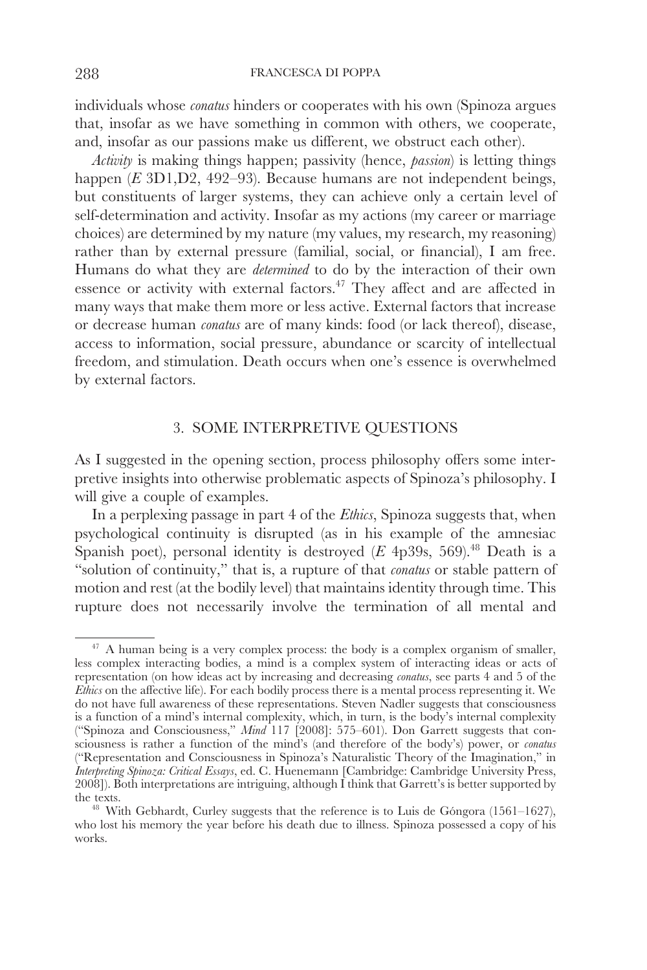individuals whose *conatus* hinders or cooperates with his own (Spinoza argues that, insofar as we have something in common with others, we cooperate, and, insofar as our passions make us different, we obstruct each other).

*Activity* is making things happen; passivity (hence, *passion*) is letting things happen (*E* 3D1,D2, 492–93). Because humans are not independent beings, but constituents of larger systems, they can achieve only a certain level of self-determination and activity. Insofar as my actions (my career or marriage choices) are determined by my nature (my values, my research, my reasoning) rather than by external pressure (familial, social, or financial), I am free. Humans do what they are *determined* to do by the interaction of their own essence or activity with external factors.<sup>47</sup> They affect and are affected in many ways that make them more or less active. External factors that increase or decrease human *conatus* are of many kinds: food (or lack thereof), disease, access to information, social pressure, abundance or scarcity of intellectual freedom, and stimulation. Death occurs when one's essence is overwhelmed by external factors.

## 3. SOME INTERPRETIVE QUESTIONS

As I suggested in the opening section, process philosophy offers some interpretive insights into otherwise problematic aspects of Spinoza's philosophy. I will give a couple of examples.

In a perplexing passage in part 4 of the *Ethics*, Spinoza suggests that, when psychological continuity is disrupted (as in his example of the amnesiac Spanish poet), personal identity is destroyed (*E* 4p39s, 569).<sup>48</sup> Death is a "solution of continuity," that is, a rupture of that *conatus* or stable pattern of motion and rest (at the bodily level) that maintains identity through time. This rupture does not necessarily involve the termination of all mental and

 $47$  A human being is a very complex process: the body is a complex organism of smaller, less complex interacting bodies, a mind is a complex system of interacting ideas or acts of representation (on how ideas act by increasing and decreasing *conatus*, see parts 4 and 5 of the *Ethics* on the affective life). For each bodily process there is a mental process representing it. We do not have full awareness of these representations. Steven Nadler suggests that consciousness is a function of a mind's internal complexity, which, in turn, is the body's internal complexity ("Spinoza and Consciousness," *Mind* 117 [2008]: 575–601). Don Garrett suggests that consciousness is rather a function of the mind's (and therefore of the body's) power, or *conatus* ("Representation and Consciousness in Spinoza's Naturalistic Theory of the Imagination," in *Interpreting Spinoza: Critical Essays*, ed. C. Huenemann [Cambridge: Cambridge University Press, 2008]). Both interpretations are intriguing, although  $\overline{I}$  think that Garrett's is better supported by

the texts. <sup>48</sup> With Gebhardt, Curley suggests that the reference is to Luis de Góngora (1561–1627), who lost his memory the year before his death due to illness. Spinoza possessed a copy of his works.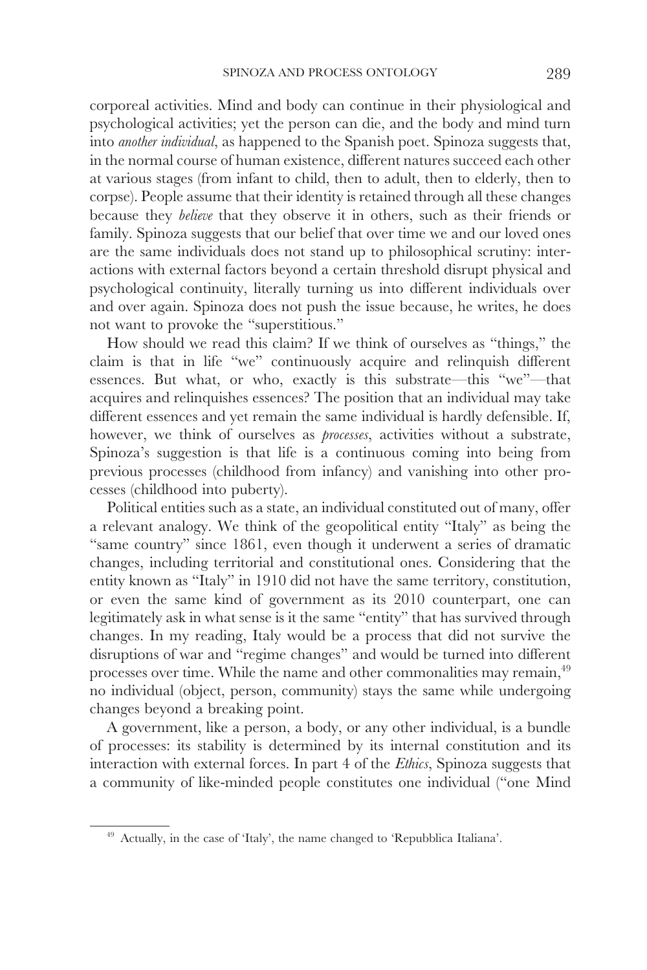corporeal activities. Mind and body can continue in their physiological and psychological activities; yet the person can die, and the body and mind turn into *another individual*, as happened to the Spanish poet. Spinoza suggests that, in the normal course of human existence, different natures succeed each other at various stages (from infant to child, then to adult, then to elderly, then to corpse). People assume that their identity is retained through all these changes because they *believe* that they observe it in others, such as their friends or family. Spinoza suggests that our belief that over time we and our loved ones are the same individuals does not stand up to philosophical scrutiny: interactions with external factors beyond a certain threshold disrupt physical and psychological continuity, literally turning us into different individuals over and over again. Spinoza does not push the issue because, he writes, he does not want to provoke the "superstitious."

How should we read this claim? If we think of ourselves as "things," the claim is that in life "we" continuously acquire and relinquish different essences. But what, or who, exactly is this substrate—this "we"—that acquires and relinquishes essences? The position that an individual may take different essences and yet remain the same individual is hardly defensible. If, however, we think of ourselves as *processes*, activities without a substrate, Spinoza's suggestion is that life is a continuous coming into being from previous processes (childhood from infancy) and vanishing into other processes (childhood into puberty).

Political entities such as a state, an individual constituted out of many, offer a relevant analogy. We think of the geopolitical entity "Italy" as being the "same country" since 1861, even though it underwent a series of dramatic changes, including territorial and constitutional ones. Considering that the entity known as "Italy" in 1910 did not have the same territory, constitution, or even the same kind of government as its 2010 counterpart, one can legitimately ask in what sense is it the same "entity" that has survived through changes. In my reading, Italy would be a process that did not survive the disruptions of war and "regime changes" and would be turned into different processes over time. While the name and other commonalities may remain, <sup>49</sup> no individual (object, person, community) stays the same while undergoing changes beyond a breaking point.

A government, like a person, a body, or any other individual, is a bundle of processes: its stability is determined by its internal constitution and its interaction with external forces. In part 4 of the *Ethics*, Spinoza suggests that a community of like-minded people constitutes one individual ("one Mind

<sup>49</sup> Actually, in the case of 'Italy', the name changed to 'Repubblica Italiana'.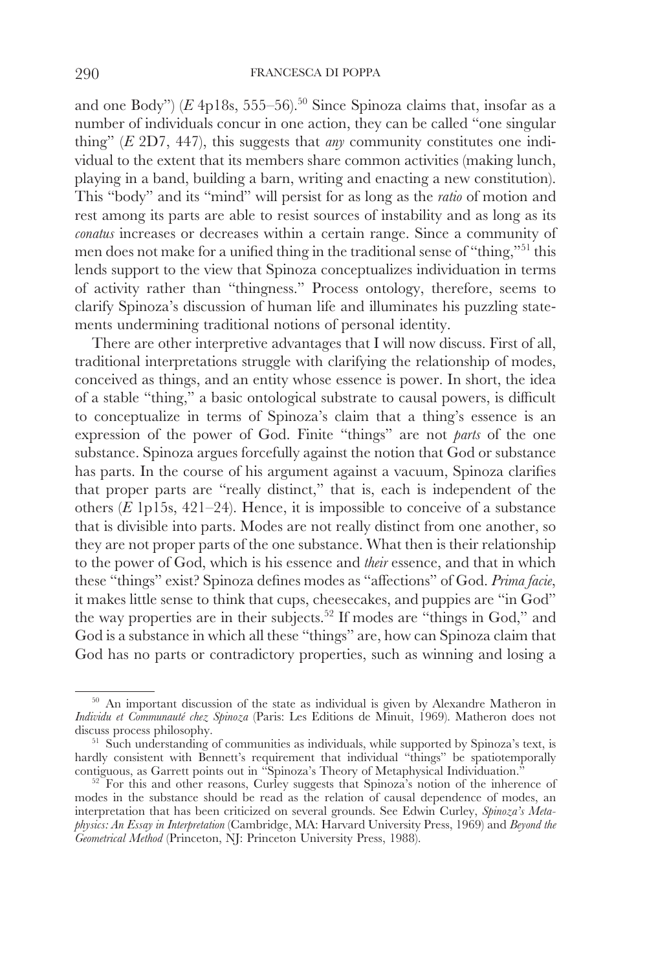and one Body")  $(E 4p18s, 555-56).$ <sup>50</sup> Since Spinoza claims that, insofar as a number of individuals concur in one action, they can be called "one singular thing" (*E* 2D7, 447), this suggests that *any* community constitutes one individual to the extent that its members share common activities (making lunch, playing in a band, building a barn, writing and enacting a new constitution). This "body" and its "mind" will persist for as long as the *ratio* of motion and rest among its parts are able to resist sources of instability and as long as its *conatus* increases or decreases within a certain range. Since a community of men does not make for a unified thing in the traditional sense of "thing,"<sup>51</sup> this lends support to the view that Spinoza conceptualizes individuation in terms of activity rather than "thingness." Process ontology, therefore, seems to clarify Spinoza's discussion of human life and illuminates his puzzling statements undermining traditional notions of personal identity.

There are other interpretive advantages that I will now discuss. First of all, traditional interpretations struggle with clarifying the relationship of modes, conceived as things, and an entity whose essence is power. In short, the idea of a stable "thing," a basic ontological substrate to causal powers, is difficult to conceptualize in terms of Spinoza's claim that a thing's essence is an expression of the power of God. Finite "things" are not *parts* of the one substance. Spinoza argues forcefully against the notion that God or substance has parts. In the course of his argument against a vacuum, Spinoza clarifies that proper parts are "really distinct," that is, each is independent of the others (*E* 1p15s, 421–24). Hence, it is impossible to conceive of a substance that is divisible into parts. Modes are not really distinct from one another, so they are not proper parts of the one substance. What then is their relationship to the power of God, which is his essence and *their* essence, and that in which these "things" exist? Spinoza defines modes as "affections" of God. *Prima facie*, it makes little sense to think that cups, cheesecakes, and puppies are "in God" the way properties are in their subjects.<sup>52</sup> If modes are "things in God," and God is a substance in which all these "things" are, how can Spinoza claim that God has no parts or contradictory properties, such as winning and losing a

<sup>50</sup> An important discussion of the state as individual is given by Alexandre Matheron in *Individu et Communauté chez Spinoza* (Paris: Les Editions de Minuit, 1969). Matheron does not discuss process philosophy.

<sup>51</sup> Such understanding of communities as individuals, while supported by Spinoza's text, is hardly consistent with Bennett's requirement that individual "things" be spatiotemporally contiguous, as Garrett points out in "Spinoza's Theory of Metaphysical Individuation."

 $52$  For this and other reasons, Curley suggests that Spinoza's notion of the inherence of modes in the substance should be read as the relation of causal dependence of modes, an interpretation that has been criticized on several grounds. See Edwin Curley, *Spinoza's Metaphysics: An Essay in Interpretation* (Cambridge, MA: Harvard University Press, 1969) and *Beyond the Geometrical Method* (Princeton, NJ: Princeton University Press, 1988).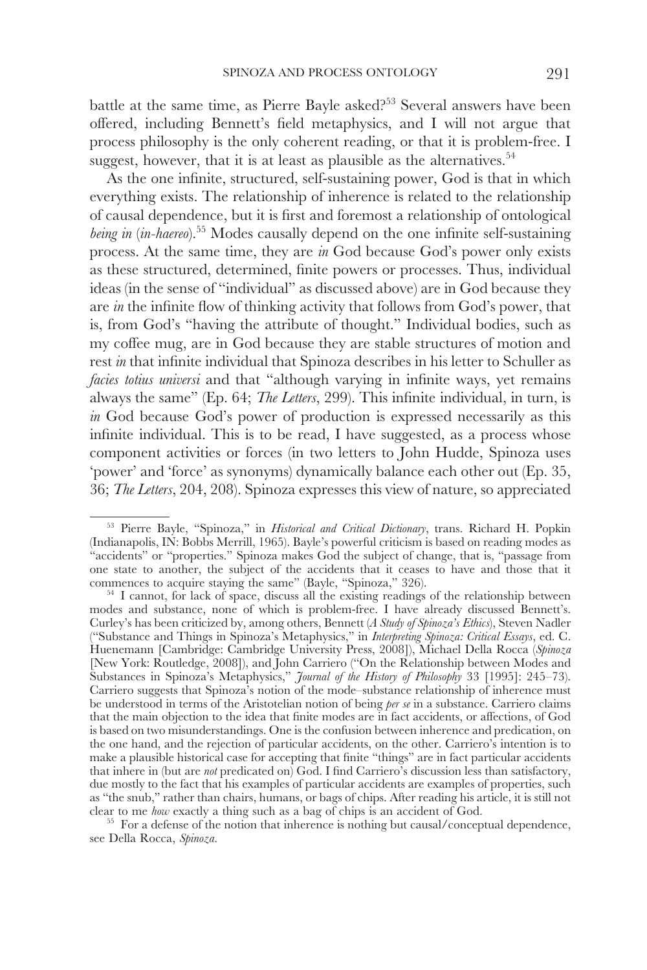battle at the same time, as Pierre Bayle asked?<sup>53</sup> Several answers have been offered, including Bennett's field metaphysics, and I will not argue that process philosophy is the only coherent reading, or that it is problem-free. I suggest, however, that it is at least as plausible as the alternatives. $54$ 

As the one infinite, structured, self-sustaining power, God is that in which everything exists. The relationship of inherence is related to the relationship of causal dependence, but it is first and foremost a relationship of ontological *being in* (*in-haereo*).<sup>55</sup> Modes causally depend on the one infinite self-sustaining process. At the same time, they are *in* God because God's power only exists as these structured, determined, finite powers or processes. Thus, individual ideas (in the sense of "individual" as discussed above) are in God because they are *in* the infinite flow of thinking activity that follows from God's power, that is, from God's "having the attribute of thought." Individual bodies, such as my coffee mug, are in God because they are stable structures of motion and rest *in* that infinite individual that Spinoza describes in his letter to Schuller as *facies totius universi* and that "although varying in infinite ways, yet remains always the same" (Ep. 64; *The Letters*, 299). This infinite individual, in turn, is *in* God because God's power of production is expressed necessarily as this infinite individual. This is to be read, I have suggested, as a process whose component activities or forces (in two letters to John Hudde, Spinoza uses 'power' and 'force' as synonyms) dynamically balance each other out (Ep. 35, 36; *The Letters*, 204, 208). Spinoza expresses this view of nature, so appreciated

<sup>55</sup> For a defense of the notion that inherence is nothing but causal/conceptual dependence, see Della Rocca, *Spinoza*.

<sup>53</sup> Pierre Bayle, "Spinoza," in *Historical and Critical Dictionary*, trans. Richard H. Popkin (Indianapolis, IN: Bobbs Merrill, 1965). Bayle's powerful criticism is based on reading modes as "accidents" or "properties." Spinoza makes God the subject of change, that is, "passage from one state to another, the subject of the accidents that it ceases to have and those that it commences to acquire staying the same" (Bayle, "Spinoza," 326).

 $54$  I cannot, for lack of space, discuss all the existing readings of the relationship between modes and substance, none of which is problem-free. I have already discussed Bennett's. Curley's has been criticized by, among others, Bennett (*A Study of Spinoza's Ethics*), Steven Nadler ("Substance and Things in Spinoza's Metaphysics," in *Interpreting Spinoza: Critical Essays*, ed. C. Huenemann [Cambridge: Cambridge University Press, 2008]), Michael Della Rocca (*Spinoza* [New York: Routledge, 2008]), and John Carriero ("On the Relationship between Modes and Substances in Spinoza's Metaphysics," *Journal of the History of Philosophy* 33 [1995]: 245–73). Carriero suggests that Spinoza's notion of the mode–substance relationship of inherence must be understood in terms of the Aristotelian notion of being *per se* in a substance. Carriero claims that the main objection to the idea that finite modes are in fact accidents, or affections, of God is based on two misunderstandings. One is the confusion between inherence and predication, on the one hand, and the rejection of particular accidents, on the other. Carriero's intention is to make a plausible historical case for accepting that finite "things" are in fact particular accidents that inhere in (but are *not* predicated on) God. I find Carriero's discussion less than satisfactory, due mostly to the fact that his examples of particular accidents are examples of properties, such as "the snub," rather than chairs, humans, or bags of chips. After reading his article, it is still not clear to me *how* exactly a thing such as a bag of chips is an accident of God.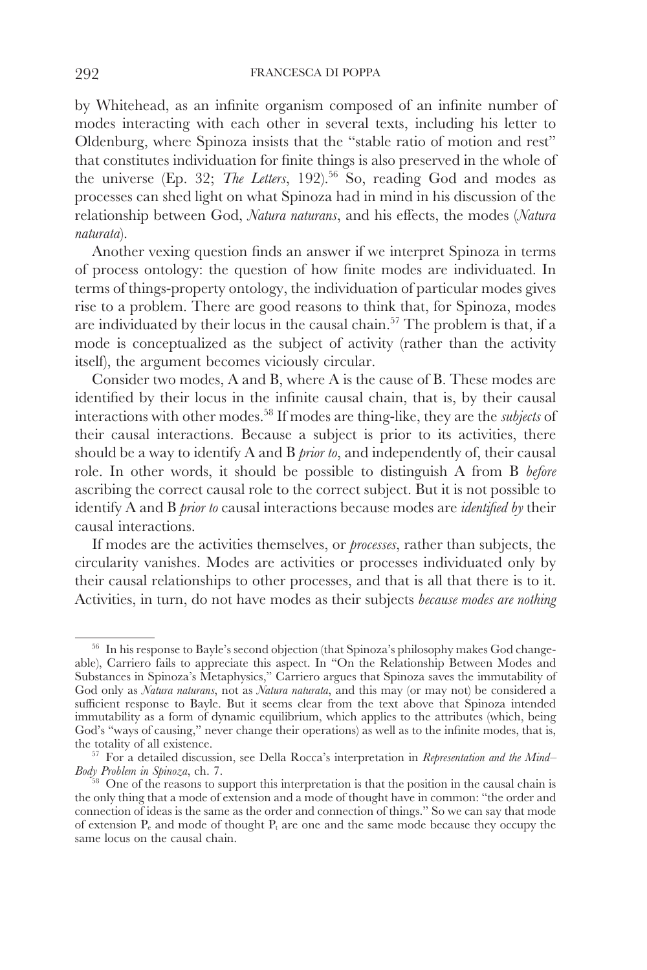by Whitehead, as an infinite organism composed of an infinite number of modes interacting with each other in several texts, including his letter to Oldenburg, where Spinoza insists that the "stable ratio of motion and rest" that constitutes individuation for finite things is also preserved in the whole of the universe (Ep. 32; *The Letters*, 192).<sup>56</sup> So, reading God and modes as processes can shed light on what Spinoza had in mind in his discussion of the relationship between God, *Natura naturans*, and his effects, the modes (*Natura naturata*).

Another vexing question finds an answer if we interpret Spinoza in terms of process ontology: the question of how finite modes are individuated. In terms of things-property ontology, the individuation of particular modes gives rise to a problem. There are good reasons to think that, for Spinoza, modes are individuated by their locus in the causal chain.<sup>57</sup> The problem is that, if a mode is conceptualized as the subject of activity (rather than the activity itself), the argument becomes viciously circular.

Consider two modes, A and B, where A is the cause of B. These modes are identified by their locus in the infinite causal chain, that is, by their causal interactions with other modes.<sup>58</sup> If modes are thing-like, they are the *subjects* of their causal interactions. Because a subject is prior to its activities, there should be a way to identify A and B *prior to*, and independently of, their causal role. In other words, it should be possible to distinguish A from B *before* ascribing the correct causal role to the correct subject. But it is not possible to identify A and B *prior to* causal interactions because modes are *identified by* their causal interactions.

If modes are the activities themselves, or *processes*, rather than subjects, the circularity vanishes. Modes are activities or processes individuated only by their causal relationships to other processes, and that is all that there is to it. Activities, in turn, do not have modes as their subjects *because modes are nothing*

<sup>&</sup>lt;sup>56</sup> In his response to Bayle's second objection (that Spinoza's philosophy makes God changeable), Carriero fails to appreciate this aspect. In "On the Relationship Between Modes and Substances in Spinoza's Metaphysics," Carriero argues that Spinoza saves the immutability of God only as *Natura naturans*, not as *Natura naturata*, and this may (or may not) be considered a sufficient response to Bayle. But it seems clear from the text above that Spinoza intended immutability as a form of dynamic equilibrium, which applies to the attributes (which, being God's "ways of causing," never change their operations) as well as to the infinite modes, that is, the totality of all existence.

<sup>&</sup>lt;sup>57</sup> For a detailed discussion, see Della Rocca's interpretation in *Representation and the Mind–Body Problem in Spinoza*, ch. 7.

<sup>&</sup>lt;sup>58</sup> One of the reasons to support this interpretation is that the position in the causal chain is the only thing that a mode of extension and a mode of thought have in common: "the order and connection of ideas is the same as the order and connection of things." So we can say that mode of extension  $P_e$  and mode of thought  $P_t$  are one and the same mode because they occupy the same locus on the causal chain.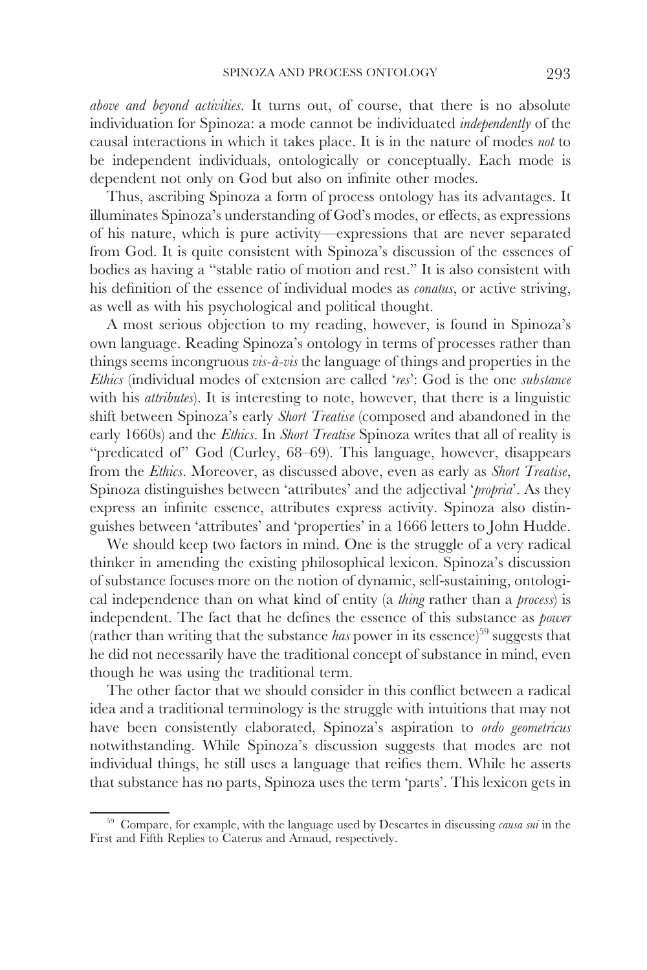*above and beyond activities*. It turns out, of course, that there is no absolute individuation for Spinoza: a mode cannot be individuated *independently* of the causal interactions in which it takes place. It is in the nature of modes *not* to be independent individuals, ontologically or conceptually. Each mode is dependent not only on God but also on infinite other modes.

Thus, ascribing Spinoza a form of process ontology has its advantages. It illuminates Spinoza's understanding of God's modes, or effects, as expressions of his nature, which is pure activity—expressions that are never separated from God. It is quite consistent with Spinoza's discussion of the essences of bodies as having a "stable ratio of motion and rest." It is also consistent with his definition of the essence of individual modes as *conatus*, or active striving, as well as with his psychological and political thought.

A most serious objection to my reading, however, is found in Spinoza's own language. Reading Spinoza's ontology in terms of processes rather than things seems incongruous *vis-à-vis* the language of things and properties in the *Ethics* (individual modes of extension are called '*res*': God is the one *substance* with his *attributes*). It is interesting to note, however, that there is a linguistic shift between Spinoza's early *Short Treatise* (composed and abandoned in the early 1660s) and the *Ethics*. In *Short Treatise* Spinoza writes that all of reality is "predicated of" God (Curley, 68–69). This language, however, disappears from the *Ethics*. Moreover, as discussed above, even as early as *Short Treatise*, Spinoza distinguishes between 'attributes' and the adjectival '*propria*'. As they express an infinite essence, attributes express activity. Spinoza also distinguishes between 'attributes' and 'properties' in a 1666 letters to John Hudde.

We should keep two factors in mind. One is the struggle of a very radical thinker in amending the existing philosophical lexicon. Spinoza's discussion of substance focuses more on the notion of dynamic, self-sustaining, ontological independence than on what kind of entity (a *thing* rather than a *process*) is independent. The fact that he defines the essence of this substance as *power* (rather than writing that the substance *has* power in its essence)<sup>59</sup> suggests that he did not necessarily have the traditional concept of substance in mind, even though he was using the traditional term.

The other factor that we should consider in this conflict between a radical idea and a traditional terminology is the struggle with intuitions that may not have been consistently elaborated, Spinoza's aspiration to *ordo geometricus* notwithstanding. While Spinoza's discussion suggests that modes are not individual things, he still uses a language that reifies them. While he asserts that substance has no parts, Spinoza uses the term 'parts'. This lexicon gets in

<sup>59</sup> Compare, for example, with the language used by Descartes in discussing *causa sui* in the First and Fifth Replies to Caterus and Arnaud, respectively.